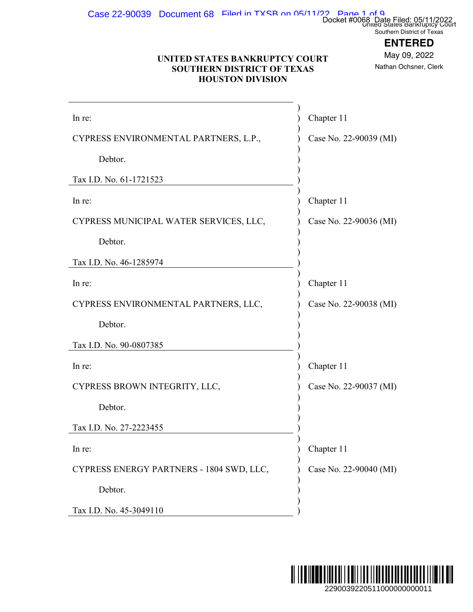$\text{Case } 22\text{-}90039$  Document  $68$  Filed in TXSB on 05/11/22 Page 1 of 9

## **ENTERED**

#### **UNITED STATES BANKRUPTCY COURT SOUTHERN DISTRICT OF TEXAS HOUSTON DIVISION**

| UNITED STATES BANKRUPTCY COURT<br><b>SOUTHERN DISTRICT OF TEXAS</b><br><b>HOUSTON DIVISION</b> |                        | Docket #0068 Date Filed: 05/11/2022<br>Southern District of Texas<br><b>ENTERED</b><br>May 09, 2022<br>Nathan Ochsner, Clerk |  |
|------------------------------------------------------------------------------------------------|------------------------|------------------------------------------------------------------------------------------------------------------------------|--|
| In re:                                                                                         | Chapter 11             |                                                                                                                              |  |
| CYPRESS ENVIRONMENTAL PARTNERS, L.P.,                                                          | Case No. 22-90039 (MI) |                                                                                                                              |  |
| Debtor.                                                                                        |                        |                                                                                                                              |  |
| Tax I.D. No. 61-1721523                                                                        |                        |                                                                                                                              |  |
| In re:                                                                                         | Chapter 11             |                                                                                                                              |  |
| CYPRESS MUNICIPAL WATER SERVICES, LLC,                                                         | Case No. 22-90036 (MI) |                                                                                                                              |  |
| Debtor.                                                                                        |                        |                                                                                                                              |  |
| Tax I.D. No. 46-1285974                                                                        |                        |                                                                                                                              |  |
| In re:                                                                                         | Chapter 11             |                                                                                                                              |  |
| CYPRESS ENVIRONMENTAL PARTNERS, LLC,                                                           | Case No. 22-90038 (MI) |                                                                                                                              |  |
| Debtor.                                                                                        |                        |                                                                                                                              |  |
| Tax I.D. No. 90-0807385                                                                        |                        |                                                                                                                              |  |
| In re:                                                                                         | Chapter 11             |                                                                                                                              |  |
| CYPRESS BROWN INTEGRITY, LLC,                                                                  | Case No. 22-90037 (MI) |                                                                                                                              |  |
| Debtor.                                                                                        |                        |                                                                                                                              |  |
| Tax I.D. No. 27-2223455                                                                        |                        |                                                                                                                              |  |
| In re:                                                                                         | Chapter 11             |                                                                                                                              |  |
| CYPRESS ENERGY PARTNERS - 1804 SWD, LLC,                                                       | Case No. 22-90040 (MI) |                                                                                                                              |  |
| Debtor.                                                                                        |                        |                                                                                                                              |  |
| Tax I.D. No. 45-3049110                                                                        |                        |                                                                                                                              |  |
|                                                                                                |                        | 11 JII<br>2290039220511000000000011                                                                                          |  |

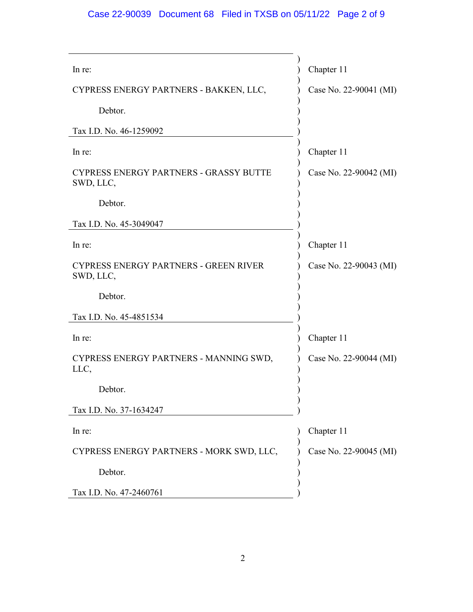## Case 22-90039 Document 68 Filed in TXSB on 05/11/22 Page 2 of 9

| In re:                                                     | Chapter 11             |
|------------------------------------------------------------|------------------------|
| CYPRESS ENERGY PARTNERS - BAKKEN, LLC,                     | Case No. 22-90041 (MI) |
| Debtor.                                                    |                        |
| Tax I.D. No. 46-1259092                                    |                        |
| In re:                                                     | Chapter 11             |
| <b>CYPRESS ENERGY PARTNERS - GRASSY BUTTE</b><br>SWD, LLC, | Case No. 22-90042 (MI) |
| Debtor.                                                    |                        |
| Tax I.D. No. 45-3049047                                    |                        |
| In re:                                                     | Chapter 11             |
| <b>CYPRESS ENERGY PARTNERS - GREEN RIVER</b><br>SWD, LLC,  | Case No. 22-90043 (MI) |
| Debtor.                                                    |                        |
| Tax I.D. No. 45-4851534                                    |                        |
| In re:                                                     | Chapter 11             |
| CYPRESS ENERGY PARTNERS - MANNING SWD,<br>LLC,             | Case No. 22-90044 (MI) |
| Debtor.                                                    |                        |
| Tax I.D. No. 37-1634247                                    |                        |
| In re:                                                     | Chapter 11             |
| CYPRESS ENERGY PARTNERS - MORK SWD, LLC,                   | Case No. 22-90045 (MI) |
| Debtor.                                                    |                        |
| Tax I.D. No. 47-2460761                                    |                        |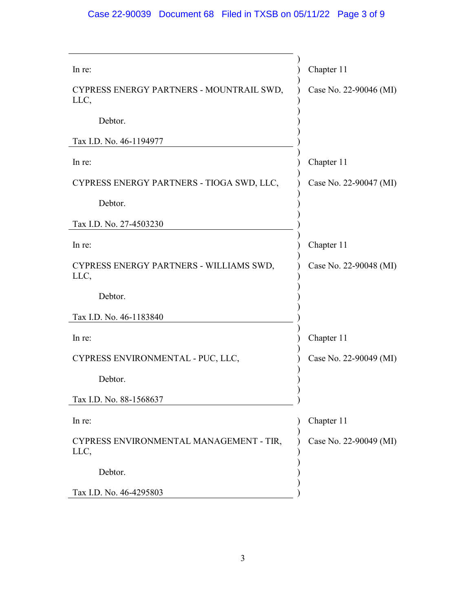# Case 22-90039 Document 68 Filed in TXSB on 05/11/22 Page 3 of 9

| In re:                                           | Chapter 11             |
|--------------------------------------------------|------------------------|
| CYPRESS ENERGY PARTNERS - MOUNTRAIL SWD,<br>LLC, | Case No. 22-90046 (MI) |
| Debtor.                                          |                        |
| Tax I.D. No. 46-1194977                          |                        |
| In re:                                           | Chapter 11             |
| CYPRESS ENERGY PARTNERS - TIOGA SWD, LLC,        | Case No. 22-90047 (MI) |
| Debtor.                                          |                        |
| Tax I.D. No. 27-4503230                          |                        |
| In re:                                           | Chapter 11             |
| CYPRESS ENERGY PARTNERS - WILLIAMS SWD,<br>LLC,  | Case No. 22-90048 (MI) |
| Debtor.                                          |                        |
| Tax I.D. No. 46-1183840                          |                        |
| In re:                                           | Chapter 11             |
| CYPRESS ENVIRONMENTAL - PUC, LLC,                | Case No. 22-90049 (MI) |
| Debtor.                                          |                        |
| Tax I.D. No. 88-1568637                          |                        |
| In re:                                           | Chapter 11             |
| CYPRESS ENVIRONMENTAL MANAGEMENT - TIR,<br>LLC,  | Case No. 22-90049 (MI) |
| Debtor.                                          |                        |
| Tax I.D. No. 46-4295803                          |                        |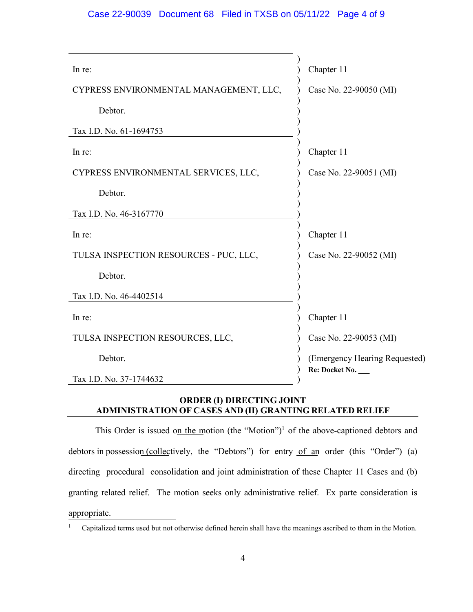#### Case 22-90039 Document 68 Filed in TXSB on 05/11/22 Page 4 of 9

| In re:                                 | Chapter 11                    |
|----------------------------------------|-------------------------------|
| CYPRESS ENVIRONMENTAL MANAGEMENT, LLC, | Case No. 22-90050 (MI)        |
| Debtor.                                |                               |
| Tax I.D. No. 61-1694753                |                               |
| In re:                                 | Chapter 11                    |
| CYPRESS ENVIRONMENTAL SERVICES, LLC,   | Case No. 22-90051 (MI)        |
| Debtor.                                |                               |
| Tax I.D. No. 46-3167770                |                               |
| In re:                                 | Chapter 11                    |
| TULSA INSPECTION RESOURCES - PUC, LLC, | Case No. 22-90052 (MI)        |
| Debtor.                                |                               |
| Tax I.D. No. 46-4402514                |                               |
| In re:                                 | Chapter 11                    |
| TULSA INSPECTION RESOURCES, LLC,       | Case No. 22-90053 (MI)        |
| Debtor.                                | (Emergency Hearing Requested) |
| Tax I.D. No. 37-1744632                | Re: Docket No.                |

#### **ORDER (I) DIRECTING JOINT ADMINISTRATION OF CASES AND (II) GRANTING RELATED RELIEF**

This Order is issued on the motion (the "Motion")<sup>1</sup> of the above-captioned debtors and debtors in possession (collectively, the "Debtors") for entry of an order (this "Order") (a) directing procedural consolidation and joint administration of these Chapter 11 Cases and (b) granting related relief. The motion seeks only administrative relief. Ex parte consideration is appropriate.

<sup>1</sup> Capitalized terms used but not otherwise defined herein shall have the meanings ascribed to them in the Motion.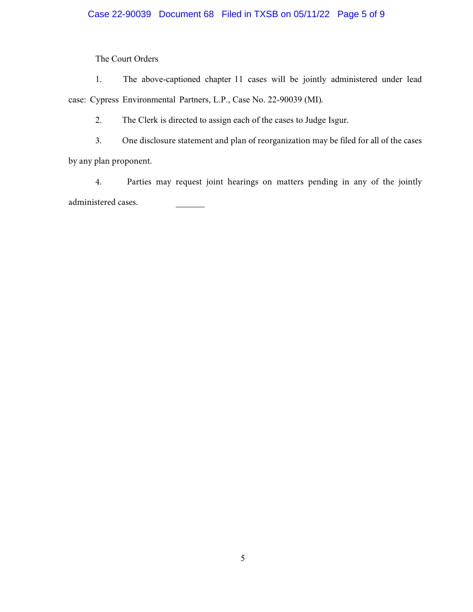### Case 22-90039 Document 68 Filed in TXSB on 05/11/22 Page 5 of 9

The Court Orders

1. The above-captioned chapter 11 cases will be jointly administered under lead case: Cypress Environmental Partners, L.P., Case No. 22-90039 (MI).

2. The Clerk is directed to assign each of the cases to Judge Isgur.

3. One disclosure statement and plan of reorganization may be filed for all of the cases

by any plan proponent.

4. Parties may request joint hearings on matters pending in any of the jointly administered cases.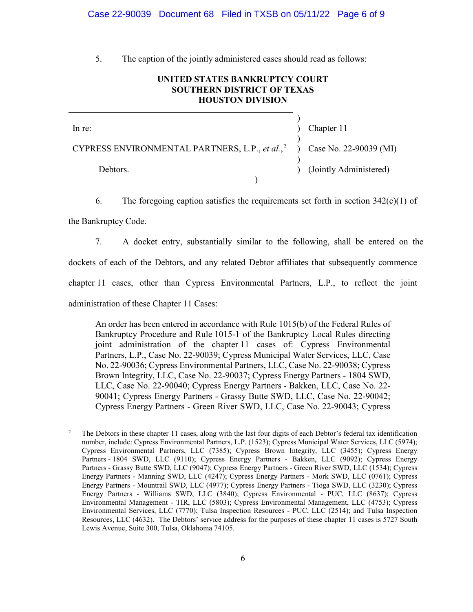#### Case 22-90039 Document 68 Filed in TXSB on 05/11/22 Page 6 of 9

. The caption of the jointly administered cases should read as follows:

#### **UNITED STATES BANKRUPTCY COURT SOUTHERN DISTRICT OF TEXAS HOUSTON DIVISION**

) In re: (a) Chapter 11 ) CYPRESS ENVIRONMENTAL PARTNERS, L.P., *et al.*, 2 ) Case No. 22-90039 (MI) ) Debtors. (Jointly Administered) )

6. The foregoing caption satisfies the requirements set forth in section  $342(c)(1)$  of

the Bankruptcy Code.

. A docket entry, substantially similar to the following, shall be entered on the

dockets of each of the Debtors, and any related Debtor affiliates that subsequently commence

chapter 11 cases, other than Cypress Environmental Partners, L.P., to reflect the joint

administration of these Chapter 11 Cases:

An order has been entered in accordance with Rule 1015(b) of the Federal Rules of Bankruptcy Procedure and Rule 1015-1 of the Bankruptcy Local Rules directing joint administration of the chapter 11 cases of: Cypress Environmental Partners, L.P., Case No. 22-90039; Cypress Municipal Water Services, LLC, Case No. 22-90036; Cypress Environmental Partners, LLC, Case No. 22-90038; Cypress Brown Integrity, LLC, Case No. 22-90037; Cypress Energy Partners - 1804 SWD, LLC, Case No. 22-90040; Cypress Energy Partners - Bakken, LLC, Case No. 22- 90041; Cypress Energy Partners - Grassy Butte SWD, LLC, Case No. 22-90042; Cypress Energy Partners - Green River SWD, LLC, Case No. 22-90043; Cypress

<sup>2</sup> The Debtors in these chapter 11 cases, along with the last four digits of each Debtor's federal tax identification number, include: Cypress Environmental Partners, L.P. (1523); Cypress Municipal Water Services, LLC (5974); Cypress Environmental Partners, LLC (7385); Cypress Brown Integrity, LLC (3455); Cypress Energy Partners - 1804 SWD, LLC (9110); Cypress Energy Partners - Bakken, LLC (9092); Cypress Energy Partners - Grassy Butte SWD, LLC (9047); Cypress Energy Partners - Green River SWD, LLC (1534); Cypress Energy Partners - Manning SWD, LLC (4247); Cypress Energy Partners - Mork SWD, LLC (0761); Cypress Energy Partners - Mountrail SWD, LLC (4977); Cypress Energy Partners - Tioga SWD, LLC (3230); Cypress Energy Partners - Williams SWD, LLC (3840); Cypress Environmental - PUC, LLC (8637); Cypress Environmental Management - TIR, LLC (5803); Cypress Environmental Management, LLC (4753); Cypress Environmental Services, LLC (7770); Tulsa Inspection Resources - PUC, LLC (2514); and Tulsa Inspection Resources, LLC (4632). The Debtors' service address for the purposes of these chapter 11 cases is 5727 South Lewis Avenue, Suite 300, Tulsa, Oklahoma 74105.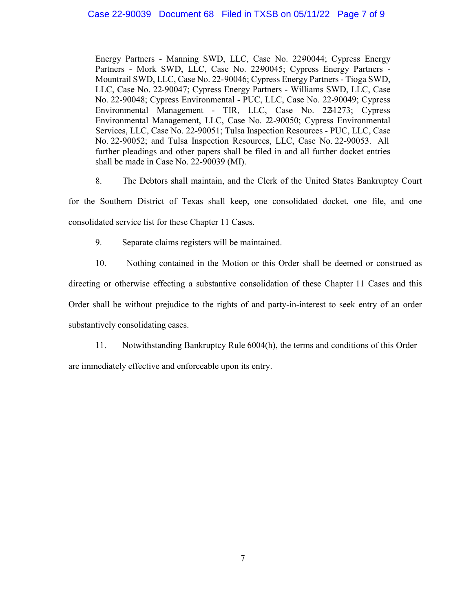#### Case 22-90039 Document 68 Filed in TXSB on 05/11/22 Page 7 of 9

Energy Partners - Manning SWD, LLC, Case No. 22-90044; Cypress Energy Partners - Mork SWD, LLC, Case No. 2290045; Cypress Energy Partners -Mountrail SWD, LLC, Case No. 22-90046; Cypress Energy Partners - Tioga SWD, LLC, Case No. 22-90047; Cypress Energy Partners - Williams SWD, LLC, Case No. 22-90048; Cypress Environmental - PUC, LLC, Case No. 22-90049; Cypress Environmental Management - TIR, LLC, Case No. 2241273; Cypress Environmental Management, LLC, Case No. 22-90050; Cypress Environmental Services, LLC, Case No. 22-90051; Tulsa Inspection Resources - PUC, LLC, Case No. 22-90052; and Tulsa Inspection Resources, LLC, Case No. 22-90053. All further pleadings and other papers shall be filed in and all further docket entries shall be made in Case No. 22-90039 (MI).

. The Debtors shall maintain, and the Clerk of the United States Bankruptcy Court

for the Southern District of Texas shall keep, one consolidated docket, one file, and one consolidated service list for these Chapter 11 Cases.

- 9. Separate claims registers will be maintained.
- 10. Nothing contained in the Motion or this Order shall be deemed or construed as

directing or otherwise effecting a substantive consolidation of these Chapter 11 Cases and this Order shall be without prejudice to the rights of and party-in-interest to seek entry of an order substantively consolidating cases.

11. Notwithstanding Bankruptcy Rule 6004(h), the terms and conditions of this Order are immediately effective and enforceable upon its entry.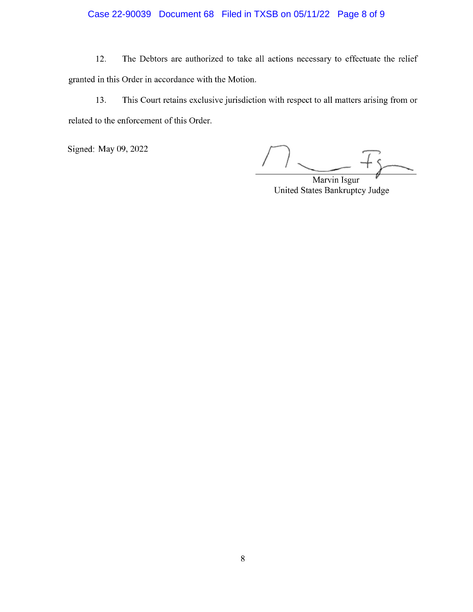### Case 22-90039 Document 68 Filed in TXSB on 05/11/22 Page 8 of 9

The Debtors are authorized to take all actions necessary to effectuate the relief 12. granted in this Order in accordance with the Motion.

This Court retains exclusive jurisdiction with respect to all matters arising from or 13. related to the enforcement of this Order.

Signed: May 09, 2022

Marvin Isgur United States Bankruptcy Judge